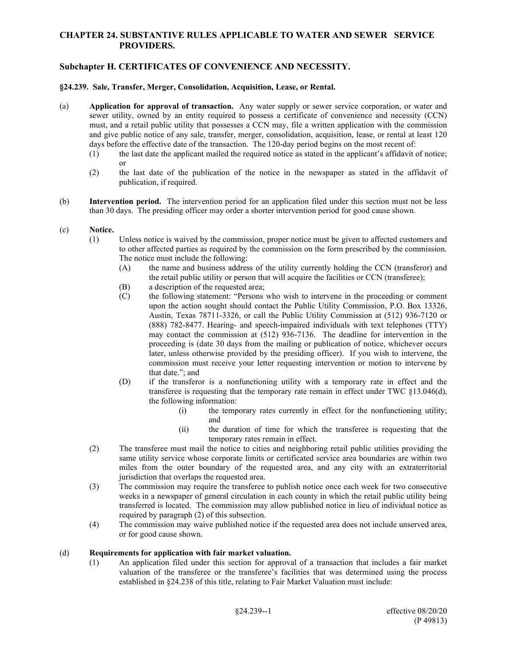## **CHAPTER 24. SUBSTANTIVE RULES APPLICABLE TO WATER AND SEWER SERVICE PROVIDERS.**

## **Subchapter H. CERTIFICATES OF CONVENIENCE AND NECESSITY.**

## **§24.239. Sale, Transfer, Merger, Consolidation, Acquisition, Lease, or Rental.**

- (a) **Application for approval of transaction.** Any water supply or sewer service corporation, or water and sewer utility, owned by an entity required to possess a certificate of convenience and necessity (CCN) must, and a retail public utility that possesses a CCN may, file a written application with the commission and give public notice of any sale, transfer, merger, consolidation, acquisition, lease, or rental at least 120 days before the effective date of the transaction. The 120-day period begins on the most recent of:
	- (1) the last date the applicant mailed the required notice as stated in the applicant's affidavit of notice; or
	- (2) the last date of the publication of the notice in the newspaper as stated in the affidavit of publication, if required.
- (b) **Intervention period.** The intervention period for an application filed under this section must not be less than 30 days. The presiding officer may order a shorter intervention period for good cause shown.
- (c) **Notice.**
	- (1) Unless notice is waived by the commission, proper notice must be given to affected customers and to other affected parties as required by the commission on the form prescribed by the commission. The notice must include the following:
		- (A) the name and business address of the utility currently holding the CCN (transferor) and the retail public utility or person that will acquire the facilities or CCN (transferee);
		- (B) a description of the requested area;
		- (C) the following statement: "Persons who wish to intervene in the proceeding or comment upon the action sought should contact the Public Utility Commission, P.O. Box 13326, Austin, Texas 78711-3326, or call the Public Utility Commission at (512) 936-7120 or (888) 782-8477. Hearing- and speech-impaired individuals with text telephones (TTY) may contact the commission at (512) 936-7136. The deadline for intervention in the proceeding is (date 30 days from the mailing or publication of notice, whichever occurs later, unless otherwise provided by the presiding officer). If you wish to intervene, the commission must receive your letter requesting intervention or motion to intervene by that date."; and
		- (D) if the transferor is a nonfunctioning utility with a temporary rate in effect and the transferee is requesting that the temporary rate remain in effect under TWC §13.046(d), the following information:
			- (i) the temporary rates currently in effect for the nonfunctioning utility; and
			- (ii) the duration of time for which the transferee is requesting that the temporary rates remain in effect.
	- (2) The transferee must mail the notice to cities and neighboring retail public utilities providing the same utility service whose corporate limits or certificated service area boundaries are within two miles from the outer boundary of the requested area, and any city with an extraterritorial jurisdiction that overlaps the requested area.
	- (3) The commission may require the transferee to publish notice once each week for two consecutive weeks in a newspaper of general circulation in each county in which the retail public utility being transferred is located. The commission may allow published notice in lieu of individual notice as required by paragraph (2) of this subsection.
	- (4) The commission may waive published notice if the requested area does not include unserved area, or for good cause shown.

## (d) **Requirements for application with fair market valuation.**

(1) An application filed under this section for approval of a transaction that includes a fair market valuation of the transferee or the transferee's facilities that was determined using the process established in §24.238 of this title, relating to Fair Market Valuation must include: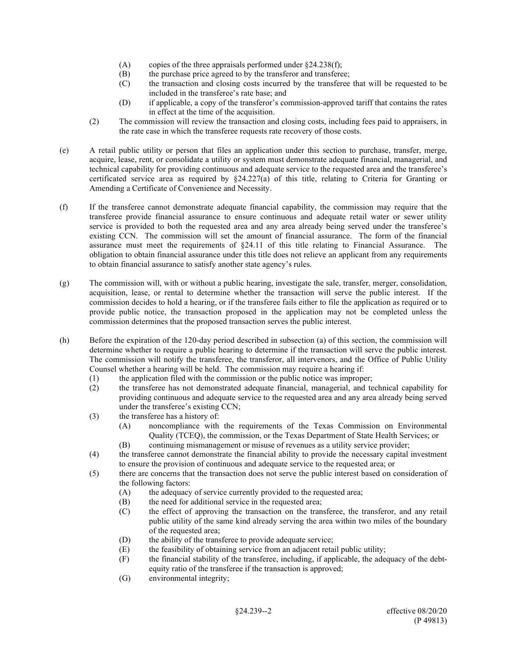- (A) copies of the three appraisals performed under  $\S 24.238(f)$ ;
- (B) the purchase price agreed to by the transferor and transferee;
- (C) the transaction and closing costs incurred by the transferee that will be requested to be included in the transferee's rate base; and
- (D) if applicable, a copy of the transferor's commission-approved tariff that contains the rates in effect at the time of the acquisition.
- (2) The commission will review the transaction and closing costs, including fees paid to appraisers, in the rate case in which the transferee requests rate recovery of those costs.
- (e) A retail public utility or person that files an application under this section to purchase, transfer, merge, acquire, lease, rent, or consolidate a utility or system must demonstrate adequate financial, managerial, and technical capability for providing continuous and adequate service to the requested area and the transferee's certificated service area as required by  $\frac{824.227(a)}{a}$  of this title, relating to Criteria for Granting or Amending a Certificate of Convenience and Necessity.
- (f) If the transferee cannot demonstrate adequate financial capability, the commission may require that the transferee provide financial assurance to ensure continuous and adequate retail water or sewer utility service is provided to both the requested area and any area already being served under the transferee's existing CCN. The commission will set the amount of financial assurance. The form of the financial assurance must meet the requirements of §24.11 of this title relating to Financial Assurance. The obligation to obtain financial assurance under this title does not relieve an applicant from any requirements to obtain financial assurance to satisfy another state agency's rules.
- (g) The commission will, with or without a public hearing, investigate the sale, transfer, merger, consolidation, acquisition, lease, or rental to determine whether the transaction will serve the public interest. If the commission decides to hold a hearing, or if the transferee fails either to file the application as required or to provide public notice, the transaction proposed in the application may not be completed unless the commission determines that the proposed transaction serves the public interest.
- (h) Before the expiration of the 120-day period described in subsection (a) of this section, the commission will determine whether to require a public hearing to determine if the transaction will serve the public interest. The commission will notify the transferee, the transferor, all intervenors, and the Office of Public Utility Counsel whether a hearing will be held. The commission may require a hearing if:
	- (1) the application filed with the commission or the public notice was improper;
	- (2) the transferee has not demonstrated adequate financial, managerial, and technical capability for providing continuous and adequate service to the requested area and any area already being served under the transferee's existing CCN;
	- (3) the transferee has a history of:
		- (A) noncompliance with the requirements of the Texas Commission on Environmental Quality (TCEQ), the commission, or the Texas Department of State Health Services; or
		- (B) continuing mismanagement or misuse of revenues as a utility service provider;
	- (4) the transferee cannot demonstrate the financial ability to provide the necessary capital investment to ensure the provision of continuous and adequate service to the requested area; or
	- (5) there are concerns that the transaction does not serve the public interest based on consideration of the following factors:
		- (A) the adequacy of service currently provided to the requested area;
		- (B) the need for additional service in the requested area;
		- (C) the effect of approving the transaction on the transferee, the transferor, and any retail public utility of the same kind already serving the area within two miles of the boundary of the requested area;
		- (D) the ability of the transferee to provide adequate service;
		- (E) the feasibility of obtaining service from an adjacent retail public utility;
		- (F) the financial stability of the transferee, including, if applicable, the adequacy of the debtequity ratio of the transferee if the transaction is approved;
		- (G) environmental integrity;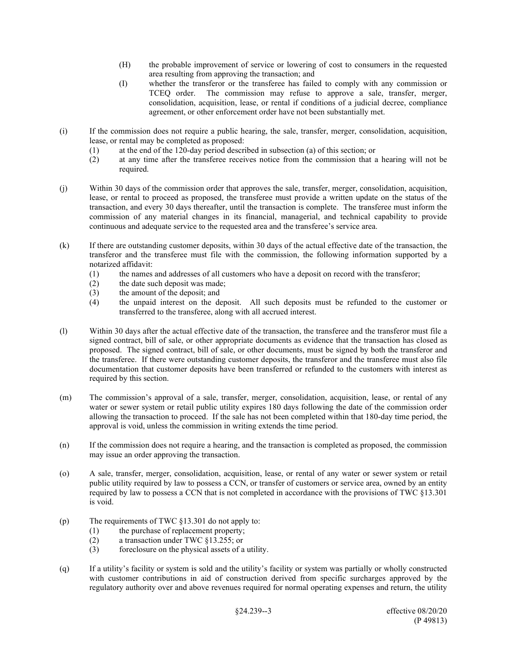- (H) the probable improvement of service or lowering of cost to consumers in the requested area resulting from approving the transaction; and
- (I) whether the transferor or the transferee has failed to comply with any commission or TCEQ order. The commission may refuse to approve a sale, transfer, merger, consolidation, acquisition, lease, or rental if conditions of a judicial decree, compliance agreement, or other enforcement order have not been substantially met.
- (i) If the commission does not require a public hearing, the sale, transfer, merger, consolidation, acquisition, lease, or rental may be completed as proposed:
	- (1) at the end of the 120-day period described in subsection (a) of this section; or
	- (2) at any time after the transferee receives notice from the commission that a hearing will not be required.
- (j) Within 30 days of the commission order that approves the sale, transfer, merger, consolidation, acquisition, lease, or rental to proceed as proposed, the transferee must provide a written update on the status of the transaction, and every 30 days thereafter, until the transaction is complete. The transferee must inform the commission of any material changes in its financial, managerial, and technical capability to provide continuous and adequate service to the requested area and the transferee's service area.
- (k) If there are outstanding customer deposits, within 30 days of the actual effective date of the transaction, the transferor and the transferee must file with the commission, the following information supported by a notarized affidavit:
	- (1) the names and addresses of all customers who have a deposit on record with the transferor;
	- (2) the date such deposit was made;
	- (3) the amount of the deposit; and
	- (4) the unpaid interest on the deposit. All such deposits must be refunded to the customer or transferred to the transferee, along with all accrued interest.
- (l) Within 30 days after the actual effective date of the transaction, the transferee and the transferor must file a signed contract, bill of sale, or other appropriate documents as evidence that the transaction has closed as proposed. The signed contract, bill of sale, or other documents, must be signed by both the transferor and the transferee. If there were outstanding customer deposits, the transferor and the transferee must also file documentation that customer deposits have been transferred or refunded to the customers with interest as required by this section.
- (m) The commission's approval of a sale, transfer, merger, consolidation, acquisition, lease, or rental of any water or sewer system or retail public utility expires 180 days following the date of the commission order allowing the transaction to proceed. If the sale has not been completed within that 180-day time period, the approval is void, unless the commission in writing extends the time period.
- (n) If the commission does not require a hearing, and the transaction is completed as proposed, the commission may issue an order approving the transaction.
- (o) A sale, transfer, merger, consolidation, acquisition, lease, or rental of any water or sewer system or retail public utility required by law to possess a CCN, or transfer of customers or service area, owned by an entity required by law to possess a CCN that is not completed in accordance with the provisions of TWC §13.301 is void.
- (p) The requirements of TWC §13.301 do not apply to:
	- (1) the purchase of replacement property;
	- (2) a transaction under TWC §13.255; or
	- (3) foreclosure on the physical assets of a utility.
- (q) If a utility's facility or system is sold and the utility's facility or system was partially or wholly constructed with customer contributions in aid of construction derived from specific surcharges approved by the regulatory authority over and above revenues required for normal operating expenses and return, the utility